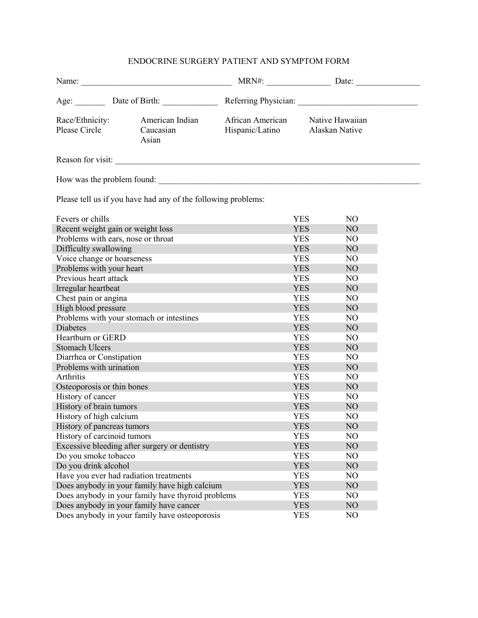## ENDOCRINE SURGERY PATIENT AND SYMPTOM FORM

| Name:                                                         |                                       |                                     |                |                                   |  |  |  |  |  |  |
|---------------------------------------------------------------|---------------------------------------|-------------------------------------|----------------|-----------------------------------|--|--|--|--|--|--|
|                                                               |                                       |                                     |                |                                   |  |  |  |  |  |  |
| Race/Ethnicity:<br>Please Circle                              | American Indian<br>Caucasian<br>Asian | African American<br>Hispanic/Latino |                | Native Hawaiian<br>Alaskan Native |  |  |  |  |  |  |
| Reason for visit:                                             |                                       |                                     |                |                                   |  |  |  |  |  |  |
| How was the problem found:                                    |                                       |                                     |                |                                   |  |  |  |  |  |  |
| Please tell us if you have had any of the following problems: |                                       |                                     |                |                                   |  |  |  |  |  |  |
| Fevers or chills                                              |                                       |                                     | <b>YES</b>     | N <sub>O</sub>                    |  |  |  |  |  |  |
| Recent weight gain or weight loss                             |                                       |                                     | <b>YES</b>     | N <sub>O</sub>                    |  |  |  |  |  |  |
| Problems with ears, nose or throat                            |                                       |                                     | <b>YES</b>     | N <sub>O</sub>                    |  |  |  |  |  |  |
| Difficulty swallowing                                         |                                       |                                     | <b>YES</b>     | N <sub>O</sub>                    |  |  |  |  |  |  |
| Voice change or hoarseness                                    |                                       | <b>YES</b>                          | N <sub>O</sub> |                                   |  |  |  |  |  |  |
| Problems with your heart                                      |                                       |                                     | <b>YES</b>     | N <sub>O</sub>                    |  |  |  |  |  |  |
| Previous heart attack                                         |                                       |                                     | <b>YES</b>     | N <sub>O</sub>                    |  |  |  |  |  |  |
| Irregular heartbeat                                           |                                       |                                     | <b>YES</b>     | N <sub>O</sub>                    |  |  |  |  |  |  |
| Chest pain or angina                                          |                                       |                                     | <b>YES</b>     | N <sub>O</sub>                    |  |  |  |  |  |  |
| High blood pressure                                           |                                       |                                     | <b>YES</b>     | N <sub>O</sub>                    |  |  |  |  |  |  |
| Problems with your stomach or intestines                      |                                       |                                     | <b>YES</b>     | N <sub>O</sub>                    |  |  |  |  |  |  |
| Diabetes                                                      |                                       |                                     | <b>YES</b>     | N <sub>O</sub>                    |  |  |  |  |  |  |
| Heartburn or GERD                                             |                                       |                                     | <b>YES</b>     | N <sub>O</sub>                    |  |  |  |  |  |  |
| <b>Stomach Ulcers</b>                                         |                                       |                                     | <b>YES</b>     | N <sub>O</sub>                    |  |  |  |  |  |  |
| Diarrhea or Constipation                                      |                                       |                                     | <b>YES</b>     | N <sub>O</sub>                    |  |  |  |  |  |  |
| Problems with urination                                       |                                       |                                     | <b>YES</b>     | N <sub>O</sub>                    |  |  |  |  |  |  |
| Arthritis                                                     |                                       |                                     | <b>YES</b>     | N <sub>O</sub>                    |  |  |  |  |  |  |
| Osteoporosis or thin bones                                    |                                       |                                     | <b>YES</b>     | N <sub>O</sub>                    |  |  |  |  |  |  |
| History of cancer                                             |                                       |                                     | <b>YES</b>     | N <sub>O</sub>                    |  |  |  |  |  |  |
| History of brain tumors                                       |                                       |                                     | <b>YES</b>     | N <sub>O</sub>                    |  |  |  |  |  |  |
| History of high calcium                                       |                                       |                                     | <b>YES</b>     | N <sub>O</sub>                    |  |  |  |  |  |  |
| History of pancreas tumors                                    |                                       |                                     | <b>YES</b>     | $NO$                              |  |  |  |  |  |  |
| History of carcinoid tumors                                   |                                       |                                     | <b>YES</b>     | N <sub>O</sub>                    |  |  |  |  |  |  |
| Excessive bleeding after surgery or dentistry                 |                                       |                                     | <b>YES</b>     | NO                                |  |  |  |  |  |  |
| Do you smoke tobacco                                          |                                       |                                     | <b>YES</b>     | NO                                |  |  |  |  |  |  |
| Do you drink alcohol                                          |                                       |                                     | <b>YES</b>     | NO                                |  |  |  |  |  |  |
| Have you ever had radiation treatments                        |                                       |                                     | <b>YES</b>     | N <sub>O</sub>                    |  |  |  |  |  |  |
| Does anybody in your family have high calcium                 |                                       |                                     | <b>YES</b>     | NO                                |  |  |  |  |  |  |
| Does anybody in your family have thyroid problems             |                                       |                                     | <b>YES</b>     | N <sub>O</sub>                    |  |  |  |  |  |  |
| Does anybody in your family have cancer                       |                                       |                                     | <b>YES</b>     | N <sub>O</sub>                    |  |  |  |  |  |  |
| Does anybody in your family have osteoporosis                 |                                       | <b>YES</b>                          | N <sub>O</sub> |                                   |  |  |  |  |  |  |